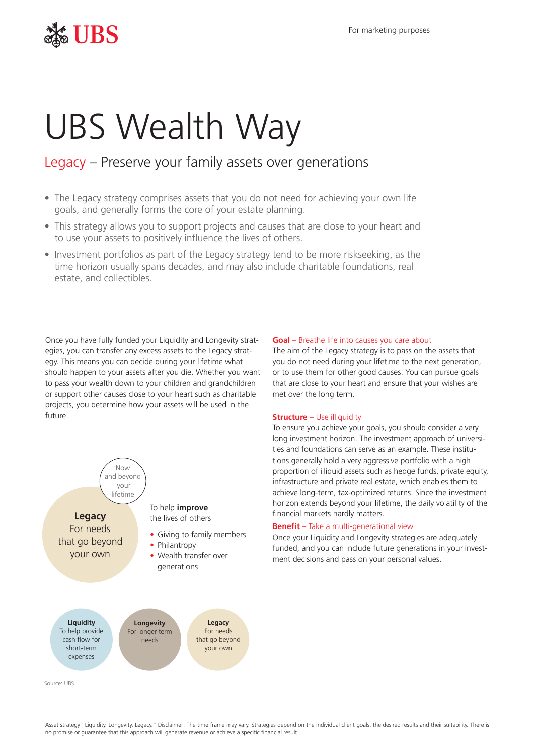## $\frac{1}{26}$  UBS

# UBS Wealth Way

### Legacy – Preserve your family assets over generations

- The Legacy strategy comprises assets that you do not need for achieving your own life goals, and generally forms the core of your estate planning.
- This strategy allows you to support projects and causes that are close to your heart and to use your assets to positively influence the lives of others.
- Investment portfolios as part of the Legacy strategy tend to be more riskseeking, as the time horizon usually spans decades, and may also include charitable foundations, real estate, and collectibles.

Once you have fully funded your Liquidity and Longevity strategies, you can transfer any excess assets to the Legacy strategy. This means you can decide during your lifetime what should happen to your assets after you die. Whether you want to pass your wealth down to your children and grandchildren or support other causes close to your heart such as charitable projects, you determine how your assets will be used in the future.



#### **Goal** – Breathe life into causes you care about

The aim of the Legacy strategy is to pass on the assets that you do not need during your lifetime to the next generation, or to use them for other good causes. You can pursue goals that are close to your heart and ensure that your wishes are met over the long term.

#### **Structure** – Use illiquidity

 achieve long-term, tax-optimized returns. Since the investment To ensure you achieve your goals, you should consider a very long investment horizon. The investment approach of universities and foundations can serve as an example. These institutions generally hold a very aggressive portfolio with a high proportion of illiquid assets such as hedge funds, private equity, infrastructure and private real estate, which enables them to horizon extends beyond your lifetime, the daily volatility of the financial markets hardly matters.

#### *Benefit* – Take a multi-generational view

Once your Liquidity and Longevity strategies are adequately funded, and you can include future generations in your investment decisions and pass on your personal values.